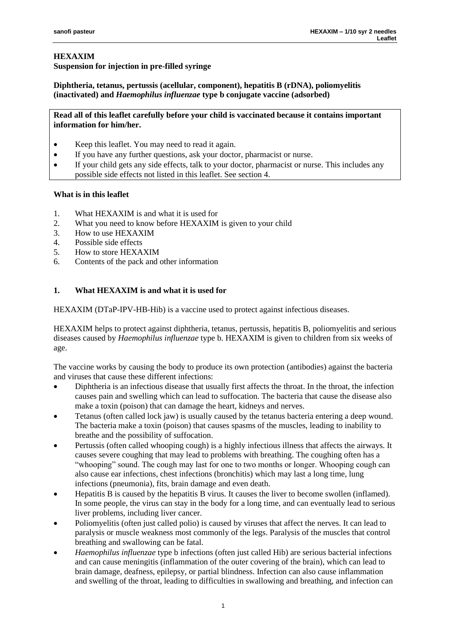## **HEXAXIM Suspension for injection in pre-filled syringe**

**Diphtheria, tetanus, pertussis (acellular, component), hepatitis B (rDNA), poliomyelitis (inactivated) and** *Haemophilus influenzae* **type b conjugate vaccine (adsorbed)**

**Read all of this leaflet carefully before your child is vaccinated because it contains important information for him/her.**

- Keep this leaflet. You may need to read it again.
- If you have any further questions, ask your doctor, pharmacist or nurse.
- If your child gets any side effects, talk to your doctor, pharmacist or nurse. This includes any possible side effects not listed in this leaflet. See section 4.

# **What is in this leaflet**

- 1. What HEXAXIM is and what it is used for
- 2. What you need to know before HEXAXIM is given to your child
- 3. How to use HEXAXIM
- 4. Possible side effects
- 5. How to store HEXAXIM
- 6. Contents of the pack and other information

# **1. What HEXAXIM is and what it is used for**

HEXAXIM (DTaP-IPV-HB-Hib) is a vaccine used to protect against infectious diseases.

HEXAXIM helps to protect against diphtheria, tetanus, pertussis, hepatitis B, poliomyelitis and serious diseases caused by *Haemophilus influenzae* type b. HEXAXIM is given to children from six weeks of age.

The vaccine works by causing the body to produce its own protection (antibodies) against the bacteria and viruses that cause these different infections:

- Diphtheria is an infectious disease that usually first affects the throat. In the throat, the infection causes pain and swelling which can lead to suffocation. The bacteria that cause the disease also make a toxin (poison) that can damage the heart, kidneys and nerves.
- Tetanus (often called lock jaw) is usually caused by the tetanus bacteria entering a deep wound. The bacteria make a toxin (poison) that causes spasms of the muscles, leading to inability to breathe and the possibility of suffocation.
- Pertussis (often called whooping cough) is a highly infectious illness that affects the airways. It causes severe coughing that may lead to problems with breathing. The coughing often has a "whooping" sound. The cough may last for one to two months or longer. Whooping cough can also cause ear infections, chest infections (bronchitis) which may last a long time, lung infections (pneumonia), fits, brain damage and even death.
- Hepatitis B is caused by the hepatitis B virus. It causes the liver to become swollen (inflamed). In some people, the virus can stay in the body for a long time, and can eventually lead to serious liver problems, including liver cancer.
- Poliomyelitis (often just called polio) is caused by viruses that affect the nerves. It can lead to paralysis or muscle weakness most commonly of the legs. Paralysis of the muscles that control breathing and swallowing can be fatal.
- *Haemophilus influenzae* type b infections (often just called Hib) are serious bacterial infections and can cause meningitis (inflammation of the outer covering of the brain), which can lead to brain damage, deafness, epilepsy, or partial blindness. Infection can also cause inflammation and swelling of the throat, leading to difficulties in swallowing and breathing, and infection can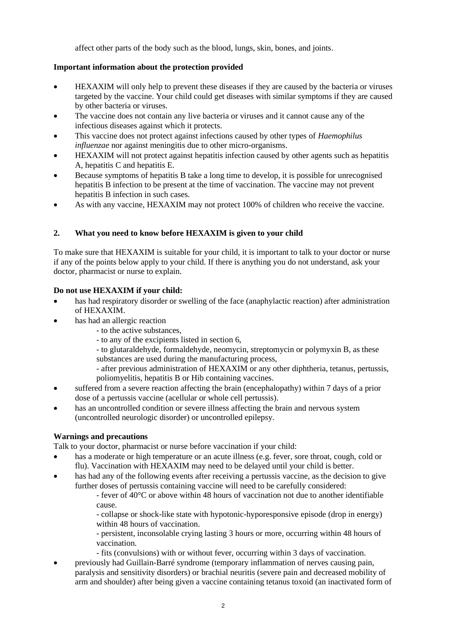affect other parts of the body such as the blood, lungs, skin, bones, and joints.

# **Important information about the protection provided**

- HEXAXIM will only help to prevent these diseases if they are caused by the bacteria or viruses targeted by the vaccine. Your child could get diseases with similar symptoms if they are caused by other bacteria or viruses.
- The vaccine does not contain any live bacteria or viruses and it cannot cause any of the infectious diseases against which it protects.
- This vaccine does not protect against infections caused by other types of *Haemophilus influenzae* nor against meningitis due to other micro-organisms.
- HEXAXIM will not protect against hepatitis infection caused by other agents such as hepatitis A, hepatitis C and hepatitis E.
- Because symptoms of hepatitis B take a long time to develop, it is possible for unrecognised hepatitis B infection to be present at the time of vaccination. The vaccine may not prevent hepatitis B infection in such cases.
- As with any vaccine, HEXAXIM may not protect 100% of children who receive the vaccine.

# **2. What you need to know before HEXAXIM is given to your child**

To make sure that HEXAXIM is suitable for your child, it is important to talk to your doctor or nurse if any of the points below apply to your child. If there is anything you do not understand, ask your doctor, pharmacist or nurse to explain.

### **Do not use HEXAXIM if your child:**

- has had respiratory disorder or swelling of the face (anaphylactic reaction) after administration of HEXAXIM.
- has had an allergic reaction
	- to the active substances,
	- to any of the excipients listed in section 6,
	- to glutaraldehyde, formaldehyde, neomycin, streptomycin or polymyxin B, as these substances are used during the manufacturing process,
	- after previous administration of HEXAXIM or any other diphtheria, tetanus, pertussis, poliomyelitis, hepatitis B or Hib containing vaccines.
- suffered from a severe reaction affecting the brain (encephalopathy) within 7 days of a prior dose of a pertussis vaccine (acellular or whole cell pertussis).
- has an uncontrolled condition or severe illness affecting the brain and nervous system (uncontrolled neurologic disorder) or uncontrolled epilepsy.

### **Warnings and precautions**

Talk to your doctor, pharmacist or nurse before vaccination if your child:

- has a moderate or high temperature or an acute illness (e.g. fever, sore throat, cough, cold or flu). Vaccination with HEXAXIM may need to be delayed until your child is better.
- has had any of the following events after receiving a pertussis vaccine, as the decision to give further doses of pertussis containing vaccine will need to be carefully considered:

- fever of 40°C or above within 48 hours of vaccination not due to another identifiable cause.

- collapse or shock-like state with hypotonic-hyporesponsive episode (drop in energy) within 48 hours of vaccination.

- persistent, inconsolable crying lasting 3 hours or more, occurring within 48 hours of vaccination.

- fits (convulsions) with or without fever, occurring within 3 days of vaccination.
- previously had Guillain-Barré syndrome (temporary inflammation of nerves causing pain, paralysis and sensitivity disorders) or brachial neuritis (severe pain and decreased mobility of arm and shoulder) after being given a vaccine containing tetanus toxoid (an inactivated form of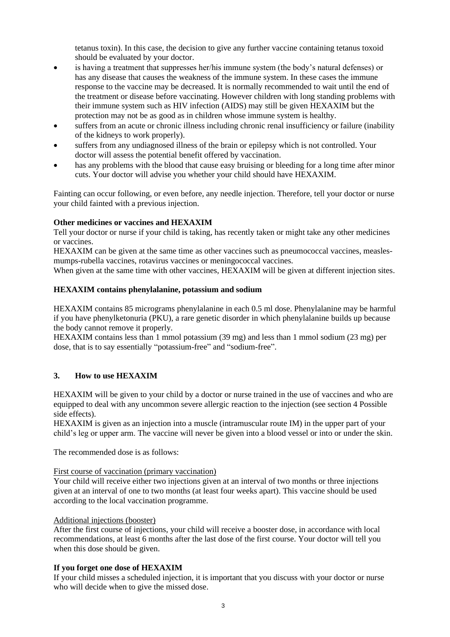tetanus toxin). In this case, the decision to give any further vaccine containing tetanus toxoid should be evaluated by your doctor.

- is having a treatment that suppresses her/his immune system (the body's natural defenses) or has any disease that causes the weakness of the immune system. In these cases the immune response to the vaccine may be decreased. It is normally recommended to wait until the end of the treatment or disease before vaccinating. However children with long standing problems with their immune system such as HIV infection (AIDS) may still be given HEXAXIM but the protection may not be as good as in children whose immune system is healthy.
- suffers from an acute or chronic illness including chronic renal insufficiency or failure (inability of the kidneys to work properly).
- suffers from any undiagnosed illness of the brain or epilepsy which is not controlled. Your doctor will assess the potential benefit offered by vaccination.
- has any problems with the blood that cause easy bruising or bleeding for a long time after minor cuts. Your doctor will advise you whether your child should have HEXAXIM.

Fainting can occur following, or even before, any needle injection. Therefore, tell your doctor or nurse your child fainted with a previous injection.

### **Other medicines or vaccines and HEXAXIM**

Tell your doctor or nurse if your child is taking, has recently taken or might take any other medicines or vaccines.

HEXAXIM can be given at the same time as other vaccines such as pneumococcal vaccines, measlesmumps-rubella vaccines, rotavirus vaccines or meningococcal vaccines.

When given at the same time with other vaccines, HEXAXIM will be given at different injection sites.

#### **HEXAXIM contains phenylalanine, potassium and sodium**

HEXAXIM contains 85 micrograms phenylalanine in each 0.5 ml dose. Phenylalanine may be harmful if you have phenylketonuria (PKU), a rare genetic disorder in which phenylalanine builds up because the body cannot remove it properly.

HEXAXIM contains less than 1 mmol potassium (39 mg) and less than 1 mmol sodium (23 mg) per dose, that is to say essentially "potassium-free" and "sodium-free".

#### **3. How to use HEXAXIM**

HEXAXIM will be given to your child by a doctor or nurse trained in the use of vaccines and who are equipped to deal with any uncommon severe allergic reaction to the injection (see section 4 Possible side effects).

HEXAXIM is given as an injection into a muscle (intramuscular route IM) in the upper part of your child's leg or upper arm. The vaccine will never be given into a blood vessel or into or under the skin.

The recommended dose is as follows:

#### First course of vaccination (primary vaccination)

Your child will receive either two injections given at an interval of two months or three injections given at an interval of one to two months (at least four weeks apart). This vaccine should be used according to the local vaccination programme.

#### Additional injections (booster)

After the first course of injections, your child will receive a booster dose, in accordance with local recommendations, at least 6 months after the last dose of the first course. Your doctor will tell you when this dose should be given.

### **If you forget one dose of HEXAXIM**

If your child misses a scheduled injection, it is important that you discuss with your doctor or nurse who will decide when to give the missed dose.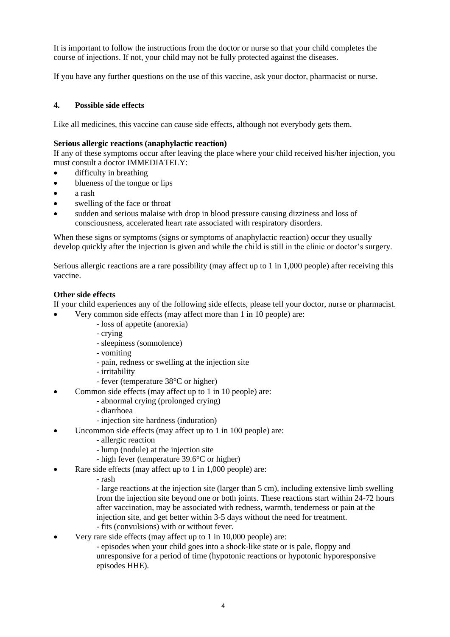It is important to follow the instructions from the doctor or nurse so that your child completes the course of injections. If not, your child may not be fully protected against the diseases.

If you have any further questions on the use of this vaccine, ask your doctor, pharmacist or nurse.

# **4. Possible side effects**

Like all medicines, this vaccine can cause side effects, although not everybody gets them.

### **Serious allergic reactions (anaphylactic reaction)**

If any of these symptoms occur after leaving the place where your child received his/her injection, you must consult a doctor IMMEDIATELY:

- difficulty in breathing
- blueness of the tongue or lips
- a rash
- swelling of the face or throat
- sudden and serious malaise with drop in blood pressure causing dizziness and loss of consciousness, accelerated heart rate associated with respiratory disorders.

When these signs or symptoms (signs or symptoms of anaphylactic reaction) occur they usually develop quickly after the injection is given and while the child is still in the clinic or doctor's surgery.

Serious allergic reactions are a rare possibility (may affect up to 1 in 1,000 people) after receiving this vaccine.

### **Other side effects**

If your child experiences any of the following side effects, please tell your doctor, nurse or pharmacist.

- Very common side effects (may affect more than 1 in 10 people) are:
	- loss of appetite (anorexia)
	- crying
	- sleepiness (somnolence)
	- vomiting
	- pain, redness or swelling at the injection site
	- irritability
	- fever (temperature 38°C or higher)
- Common side effects (may affect up to 1 in 10 people) are:
	- abnormal crying (prolonged crying)
	- diarrhoea
	- injection site hardness (induration)
- Uncommon side effects (may affect up to 1 in 100 people) are:
	- allergic reaction
	- lump (nodule) at the injection site
	- high fever (temperature 39.6°C or higher)
- Rare side effects (may affect up to 1 in 1,000 people) are:
	- rash

- large reactions at the injection site (larger than 5 cm), including extensive limb swelling from the injection site beyond one or both joints. These reactions start within 24-72 hours after vaccination, may be associated with redness, warmth, tenderness or pain at the injection site, and get better within 3-5 days without the need for treatment.

- fits (convulsions) with or without fever.
- Very rare side effects (may affect up to 1 in 10,000 people) are:
	- episodes when your child goes into a shock-like state or is pale, floppy and unresponsive for a period of time (hypotonic reactions or hypotonic hyporesponsive episodes HHE).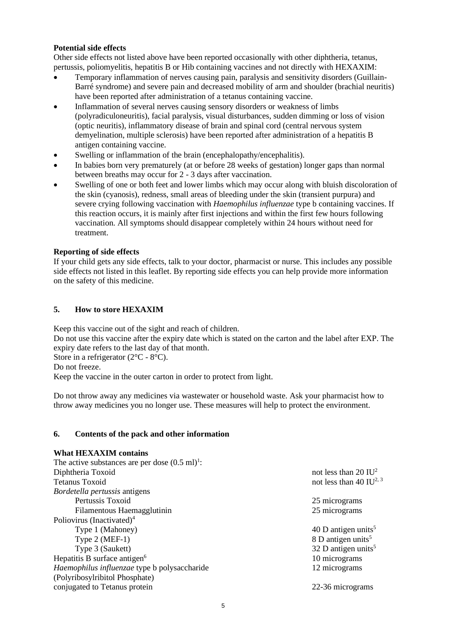## **Potential side effects**

Other side effects not listed above have been reported occasionally with other diphtheria, tetanus, pertussis, poliomyelitis, hepatitis B or Hib containing vaccines and not directly with HEXAXIM:

- Temporary inflammation of nerves causing pain, paralysis and sensitivity disorders (Guillain-Barré syndrome) and severe pain and decreased mobility of arm and shoulder (brachial neuritis) have been reported after administration of a tetanus containing vaccine.
- Inflammation of several nerves causing sensory disorders or weakness of limbs (polyradiculoneuritis), facial paralysis, visual disturbances, sudden dimming or loss of vision (optic neuritis), inflammatory disease of brain and spinal cord (central nervous system demyelination, multiple sclerosis) have been reported after administration of a hepatitis B antigen containing vaccine.
- Swelling or inflammation of the brain (encephalopathy/encephalitis).
- In babies born very prematurely (at or before 28 weeks of gestation) longer gaps than normal between breaths may occur for 2 - 3 days after vaccination.
- Swelling of one or both feet and lower limbs which may occur along with bluish discoloration of the skin (cyanosis), redness, small areas of bleeding under the skin (transient purpura) and severe crying following vaccination with *Haemophilus influenzae* type b containing vaccines. If this reaction occurs, it is mainly after first injections and within the first few hours following vaccination. All symptoms should disappear completely within 24 hours without need for treatment.

## **Reporting of side effects**

If your child gets any side effects, talk to your doctor, pharmacist or nurse. This includes any possible side effects not listed in this leaflet. By reporting side effects you can help provide more information on the safety of this medicine.

# **5. How to store HEXAXIM**

Keep this vaccine out of the sight and reach of children. Do not use this vaccine after the expiry date which is stated on the carton and the label after EXP. The expiry date refers to the last day of that month. Store in a refrigerator (2<sup>o</sup>C - 8<sup>o</sup>C). Do not freeze.

Keep the vaccine in the outer carton in order to protect from light.

Do not throw away any medicines via wastewater or household waste. Ask your pharmacist how to throw away medicines you no longer use. These measures will help to protect the environment.

### **6. Contents of the pack and other information**

# **What HEXAXIM contains**

| The active substances are per dose $(0.5 \text{ ml})^1$ : |                                     |
|-----------------------------------------------------------|-------------------------------------|
| Diphtheria Toxoid                                         | not less than 20 $IU^2$             |
| <b>Tetanus Toxoid</b>                                     | not less than 40 IU <sup>2, 3</sup> |
| Bordetella pertussis antigens                             |                                     |
| Pertussis Toxoid                                          | 25 micrograms                       |
| Filamentous Haemagglutinin                                | 25 micrograms                       |
| Poliovirus (Inactivated) <sup>4</sup>                     |                                     |
| Type 1 (Mahoney)                                          | 40 D antigen units <sup>5</sup>     |
| Type 2 (MEF-1)                                            | 8 D antigen units <sup>5</sup>      |
| Type 3 (Saukett)                                          | 32 D antigen units $5$              |
| Hepatitis B surface antigen <sup>6</sup>                  | 10 micrograms                       |
| Haemophilus influenzae type b polysaccharide              | 12 micrograms                       |
| (Polyribosylribitol Phosphate)                            |                                     |
| conjugated to Tetanus protein                             | 22-36 micrograms                    |
|                                                           |                                     |